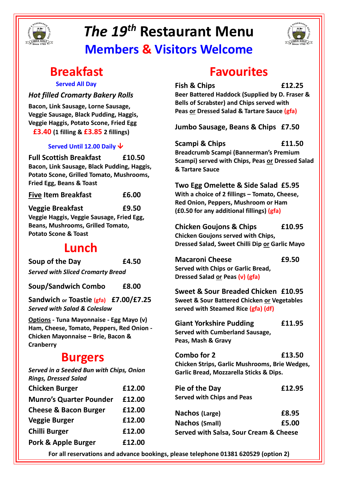

# *The 19th* **Restaurant Menu Members & Visitors Welcome**



# **Breakfast**

#### **Served All Day**

#### *Hot filled Cromarty Bakery Rolls*

**Bacon, Link Sausage, Lorne Sausage, Veggie Sausage, Black Pudding, Haggis, Veggie Haggis, Potato Scone, Fried Egg £3.40 (1 filling & £3.85 2 fillings)**

#### **Served Until 12.00 Daily**

**Full Scottish Breakfast £10.50 Bacon, Link Sausage, Black Pudding, Haggis, Potato Scone, Grilled Tomato, Mushrooms, Fried Egg, Beans & Toast**

| <b>Five Item Breakfast</b> | £6.00 |
|----------------------------|-------|
|                            |       |

**Veggie Breakfast £9.50**

**Veggie Haggis, Veggie Sausage, Fried Egg, Beans, Mushrooms, Grilled Tomato, Potato Scone & Toast**

## **Lunch**

**Soup of the Day £4.50** *Served with Sliced Cromarty Bread*

**Soup/Sandwich Combo £8.00**

**Sandwich or Toastie (gfa) £7.00/£7.25** *Served with Salad & Coleslaw*

**Options - Tuna Mayonnaise - Egg Mayo (v) Ham, Cheese, Tomato, Peppers, Red Onion - Chicken Mayonnaise – Brie, Bacon & Cranberry**

### **Burgers**

*Served in a Seeded Bun with Chips, Onion Rings, Dressed Salad*

| <b>Chicken Burger</b>            | £12.00 |
|----------------------------------|--------|
| <b>Munro's Quarter Pounder</b>   | £12.00 |
| <b>Cheese &amp; Bacon Burger</b> | £12.00 |
| <b>Veggie Burger</b>             | £12.00 |
| <b>Chilli Burger</b>             | £12.00 |
| <b>Pork &amp; Apple Burger</b>   | £12.00 |

# **Favourites**

**Fish & Chips £12.25**

**Beer Battered Haddock (Supplied by D. Fraser & Bells of Scrabster) and Chips served with Peas or Dressed Salad & Tartare Sauce (gfa)**

**Jumbo Sausage, Beans & Chips £7.50**

**Scampi & Chips £11.50 Breadcrumb Scampi (Bannerman's Premium Scampi) served with Chips, Peas or Dressed Salad & Tartare Sauce**

**Two Egg Omelette & Side Salad £5.95 With a choice of 2 fillings – Tomato, Cheese, Red Onion, Peppers, Mushroom or Ham (£0.50 for any additional fillings) (gfa)**

**Chicken Goujons & Chips £10.95 Chicken Goujons served with Chips, Dressed Salad, Sweet Chilli Dip or Garlic Mayo**

**Macaroni Cheese £9.50 Served with Chips or Garlic Bread, Dressed Salad or Peas (v) (gfa)**

**Sweet & Sour Breaded Chicken £10.95 Sweet & Sour Battered Chicken or Vegetables served with Steamed Rice (gfa) (df)** 

**Giant Yorkshire Pudding £11.95 Served with Cumberland Sausage, Peas, Mash & Gravy**

**Combo for 2 £13.50 Chicken Strips, Garlic Mushrooms, Brie Wedges, Garlic Bread, Mozzarella Sticks & Dips.**

| Pie of the Day                    | £12.95 |
|-----------------------------------|--------|
| <b>Served with Chips and Peas</b> |        |

**Nachos (Large) £8.95 Nachos (Small) £5.00 Served with Salsa, Sour Cream & Cheese**

**For all reservations and advance bookings, please telephone 01381 620529 (option 2)**